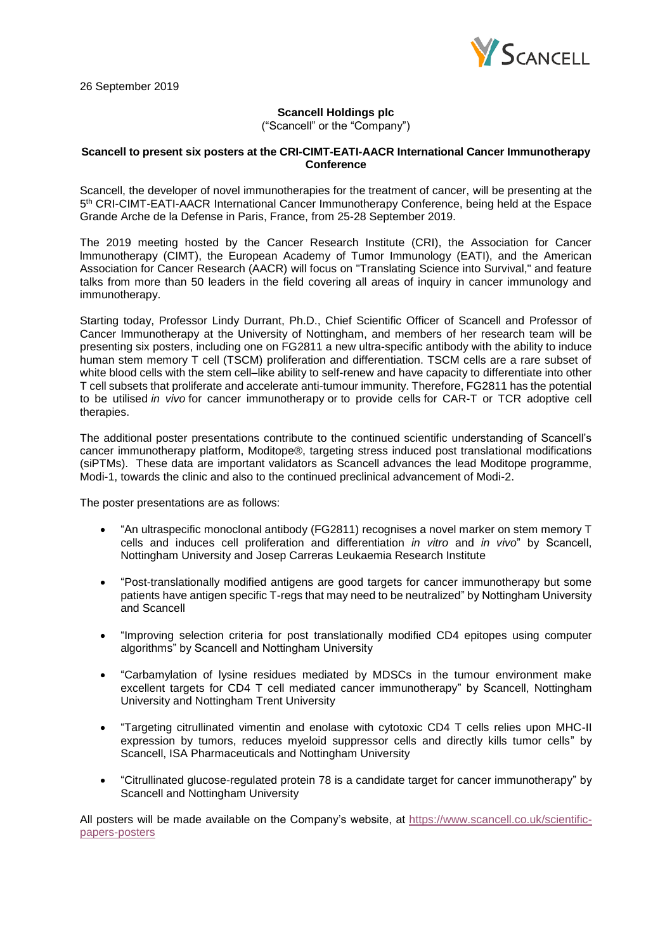

26 September 2019

## **Scancell Holdings plc**

("Scancell" or the "Company")

## **Scancell to present six posters at the CRI-CIMT-EATI-AACR International Cancer Immunotherapy Conference**

Scancell, the developer of novel immunotherapies for the treatment of cancer, will be presenting at the 5<sup>th</sup> CRI-CIMT-EATI-AACR International Cancer Immunotherapy Conference, being held at the Espace Grande Arche de la Defense in Paris, France, from 25-28 September 2019.

The 2019 meeting hosted by the Cancer Research Institute (CRI), the Association for Cancer lmmunotherapy (CIMT), the European Academy of Tumor Immunology (EATI), and the American Association for Cancer Research (AACR) will focus on "Translating Science into Survival," and feature talks from more than 50 leaders in the field covering all areas of inquiry in cancer immunology and immunotherapy.

Starting today, Professor Lindy Durrant, Ph.D., Chief Scientific Officer of Scancell and Professor of Cancer Immunotherapy at the University of Nottingham, and members of her research team will be presenting six posters, including one on FG2811 a new ultra-specific antibody with the ability to induce human stem memory T cell (TSCM) proliferation and differentiation. TSCM cells are a rare subset of white blood cells with the stem cell–like ability to self-renew and have capacity to differentiate into other T cell subsets that proliferate and accelerate anti-tumour immunity. Therefore, FG2811 has the potential to be utilised *in vivo* for cancer immunotherapy or to provide cells for CAR-T or TCR adoptive cell therapies.

The additional poster presentations contribute to the continued scientific understanding of Scancell's cancer immunotherapy platform, Moditope®, targeting stress induced post translational modifications (siPTMs). These data are important validators as Scancell advances the lead Moditope programme, Modi-1, towards the clinic and also to the continued preclinical advancement of Modi-2.

The poster presentations are as follows:

- "An ultraspecific monoclonal antibody (FG2811) recognises a novel marker on stem memory T cells and induces cell proliferation and differentiation *in vitro* and *in vivo*" by Scancell, Nottingham University and Josep Carreras Leukaemia Research Institute
- "Post-translationally modified antigens are good targets for cancer immunotherapy but some patients have antigen specific T-regs that may need to be neutralized" by Nottingham University and Scancell
- "Improving selection criteria for post translationally modified CD4 epitopes using computer algorithms" by Scancell and Nottingham University
- "Carbamylation of lysine residues mediated by MDSCs in the tumour environment make excellent targets for CD4 T cell mediated cancer immunotherapy" by Scancell, Nottingham University and Nottingham Trent University
- "Targeting citrullinated vimentin and enolase with cytotoxic CD4 T cells relies upon MHC-II expression by tumors, reduces myeloid suppressor cells and directly kills tumor cells" by Scancell, ISA Pharmaceuticals and Nottingham University
- "Citrullinated glucose-regulated protein 78 is a candidate target for cancer immunotherapy" by Scancell and Nottingham University

All posters will be made available on the Company's website, at [https://www.scancell.co.uk/scientific](https://www.scancell.co.uk/scientific-papers-posters)[papers-posters](https://www.scancell.co.uk/scientific-papers-posters)